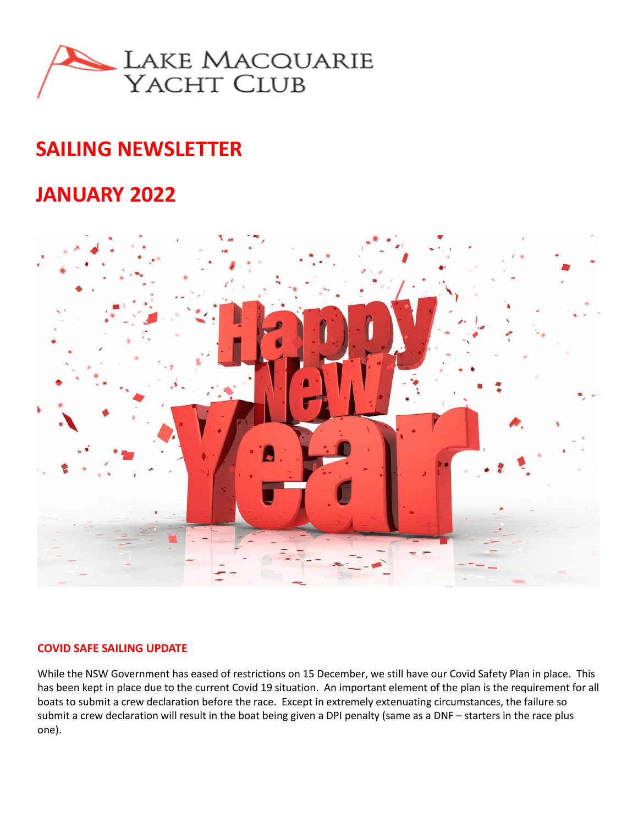

# **SAILING NEWSLETTER**

## **JANUARY 2022**



#### **COVID SAFE SAILING UPDATE**

While the NSW Government has eased of restrictions on 15 December, we still have our Covid Safety Plan in place. This has been kept in place due to the current Covid 19 situation. An important element of the plan is the requirement for all boats to submit a crew declaration before the race. Except in extremely extenuating circumstances, the failure so submit a crew declaration will result in the boat being given a DPI penalty (same as a DNF – starters in the race plus one).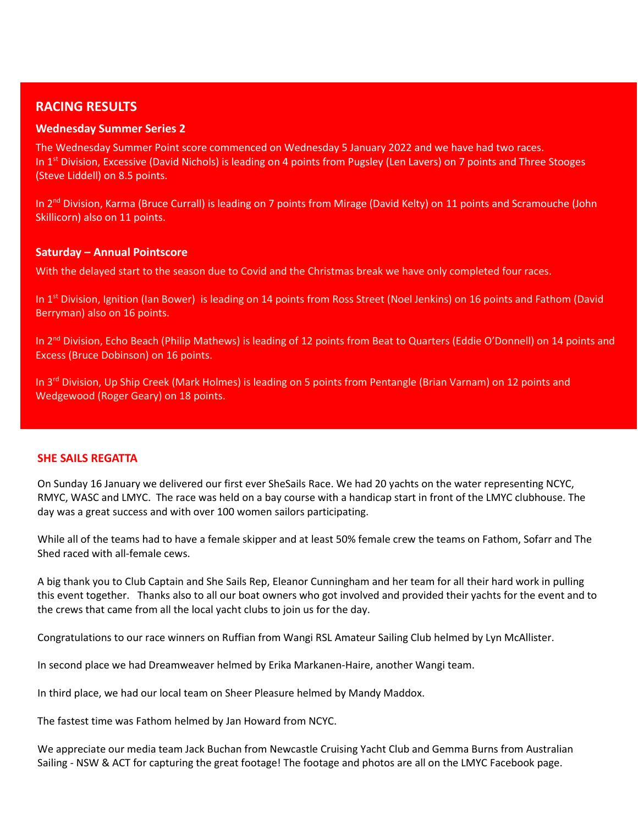### **RACING RESULTS**

#### **Wednesday Summer Series 2**

The Wednesday Summer Point score commenced on Wednesday 5 January 2022 and we have had two races. In  $1<sup>st</sup>$  Division, Excessive (David Nichols) is leading on 4 points from Pugsley (Len Lavers) on 7 points and Three Stooges (Steve Liddell) on 8.5 points.

In 2<sup>nd</sup> Division, Karma (Bruce Currall) is leading on 7 points from Mirage (David Kelty) on 11 points and Scramouche (John Skillicorn) also on 11 points.

#### **Saturday – Annual Pointscore**

With the delayed start to the season due to Covid and the Christmas break we have only completed four races.

In 1<sup>st</sup> Division, Ignition (Ian Bower) is leading on 14 points from Ross Street (Noel Jenkins) on 16 points and Fathom (David Berryman) also on 16 points.

In 2<sup>nd</sup> Division, Echo Beach (Philip Mathews) is leading of 12 points from Beat to Quarters (Eddie O'Donnell) on 14 points and Excess (Bruce Dobinson) on 16 points.

In 3<sup>rd</sup> Division, Up Ship Creek (Mark Holmes) is leading on 5 points from Pentangle (Brian Varnam) on 12 points and Wedgewood (Roger Geary) on 18 points.

#### **SHE SAILS REGATTA**

On Sunday 16 January we delivered our first ever SheSails Race. We had 20 yachts on the water representing NCYC, RMYC, WASC and LMYC. The race was held on a bay course with a handicap start in front of the LMYC clubhouse. The day was a great success and with over 100 women sailors participating.

While all of the teams had to have a female skipper and at least 50% female crew the teams on Fathom, Sofarr and The Shed raced with all-female cews.

A big thank you to Club Captain and She Sails Rep, Eleanor Cunningham and her team for all their hard work in pulling this event together. Thanks also to all our boat owners who got involved and provided their yachts for the event and to the crews that came from all the local yacht clubs to join us for the day.

Congratulations to our race winners on Ruffian from Wangi RSL Amateur Sailing Club helmed by Lyn McAllister.

In second place we had Dreamweaver helmed by Erika Markanen-Haire, another Wangi team.

In third place, we had our local team on Sheer Pleasure helmed by Mandy Maddox.

The fastest time was Fathom helmed by Jan Howard from NCYC.

We appreciate our media team Jack Buchan from Newcastle Cruising Yacht Club and Gemma Burns from Australian Sailing - NSW & ACT for capturing the great footage! The footage and photos are all on the LMYC Facebook page.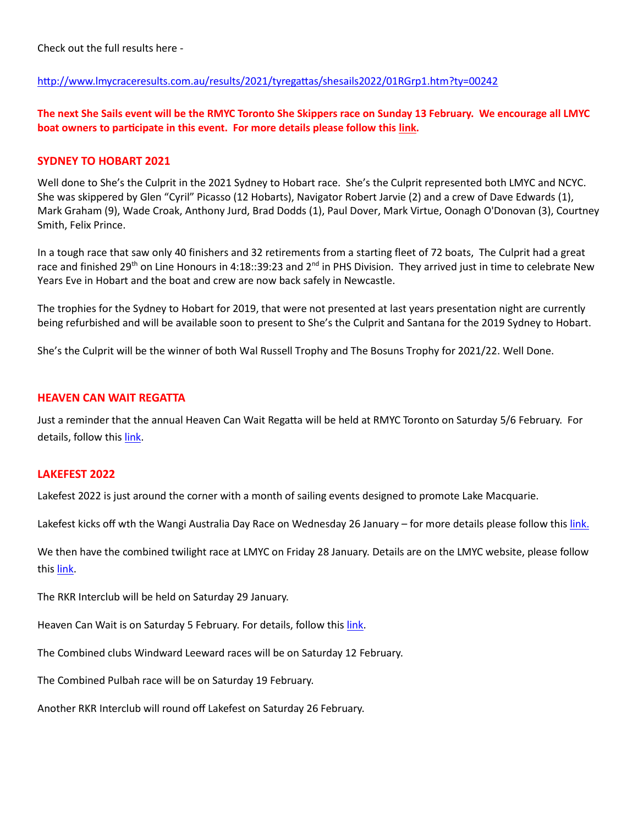Check out the full results here -

#### <http://www.lmycraceresults.com.au/results/2021/tyregattas/shesails2022/01RGrp1.htm?ty=00242>

**The next She Sails event will be the RMYC Toronto She Skippers race on Sunday 13 February. We encourage all LMYC boat owners to participate in this event. For more details please follow this [link.](https://www.rmyctoronto.com.au/she-sails)** 

#### **SYDNEY TO HOBART 2021**

Well done to She's the Culprit in the 2021 Sydney to Hobart race. She's the Culprit represented both LMYC and NCYC. She was skippered by Glen "Cyril" Picasso (12 Hobarts), Navigator Robert Jarvie (2) and a crew of Dave Edwards (1), Mark Graham (9), Wade Croak, Anthony Jurd, Brad Dodds (1), Paul Dover, Mark Virtue, Oonagh O'Donovan (3), Courtney Smith, Felix Prince.

In a tough race that saw only 40 finishers and 32 retirements from a starting fleet of 72 boats, The Culprit had a great race and finished 29<sup>th</sup> on Line Honours in 4:18::39:23 and 2<sup>nd</sup> in PHS Division. They arrived just in time to celebrate New Years Eve in Hobart and the boat and crew are now back safely in Newcastle.

The trophies for the Sydney to Hobart for 2019, that were not presented at last years presentation night are currently being refurbished and will be available soon to present to She's the Culprit and Santana for the 2019 Sydney to Hobart.

She's the Culprit will be the winner of both Wal Russell Trophy and The Bosuns Trophy for 2021/22. Well Done.

#### **HEAVEN CAN WAIT REGATTA**

Just a reminder that the annual Heaven Can Wait Regatta will be held at RMYC Toronto on Saturday 5/6 February. For details, follow thi[s link.](https://www.rmyctoronto.com.au/heaven-can-wait)

#### **LAKEFEST 2022**

Lakefest 2022 is just around the corner with a month of sailing events designed to promote Lake Macquarie.

Lakefest kicks off wth the Wangi Australia Day Race on Wednesday 26 January – for more details please follow this [link.](https://wangisailingclub.yachting.org.au/events/125287/)

We then have the combined twilight race at LMYC on Friday 28 January. Details are on the LMYC website, please follow this [link.](https://lmyc.com.au/sailing-instructions/)

The RKR Interclub will be held on Saturday 29 January.

Heaven Can Wait is on Saturday 5 February. For details, follow this [link.](https://www.rmyctoronto.com.au/heaven-can-wait)

The Combined clubs Windward Leeward races will be on Saturday 12 February.

The Combined Pulbah race will be on Saturday 19 February.

Another RKR Interclub will round off Lakefest on Saturday 26 February.